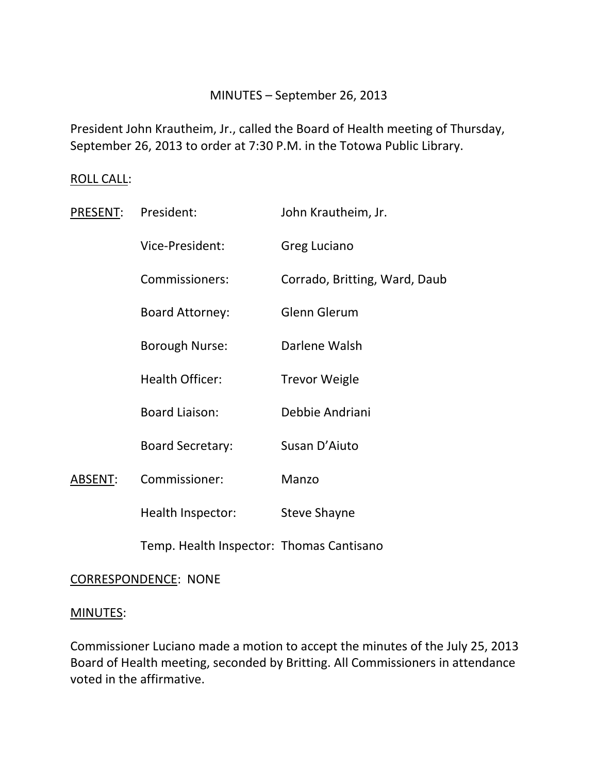### MINUTES – September 26, 2013

President John Krautheim, Jr., called the Board of Health meeting of Thursday, September 26, 2013 to order at 7:30 P.M. in the Totowa Public Library.

### ROLL CALL:

| PRESENT: | President:                               | John Krautheim, Jr.           |
|----------|------------------------------------------|-------------------------------|
|          | Vice-President:                          | Greg Luciano                  |
|          | Commissioners:                           | Corrado, Britting, Ward, Daub |
|          | <b>Board Attorney:</b>                   | <b>Glenn Glerum</b>           |
|          | <b>Borough Nurse:</b>                    | Darlene Walsh                 |
|          | <b>Health Officer:</b>                   | <b>Trevor Weigle</b>          |
|          | <b>Board Liaison:</b>                    | Debbie Andriani               |
|          | <b>Board Secretary:</b>                  | Susan D'Aiuto                 |
| ABSENT:  | Commissioner:                            | Manzo                         |
|          | Health Inspector:                        | <b>Steve Shayne</b>           |
|          | Temp. Health Inspector: Thomas Cantisano |                               |

### CORRESPONDENCE: NONE

# MINUTES:

Commissioner Luciano made a motion to accept the minutes of the July 25, 2013 Board of Health meeting, seconded by Britting. All Commissioners in attendance voted in the affirmative.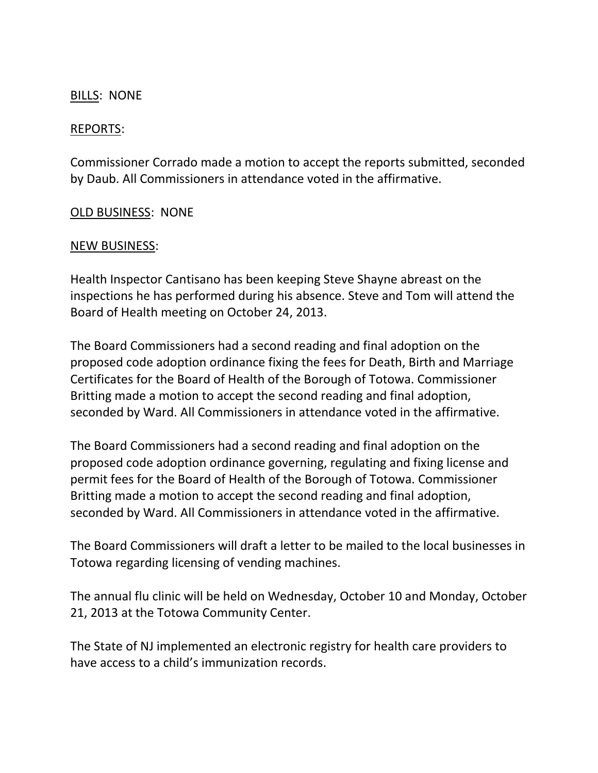## BILLS: NONE

### REPORTS:

Commissioner Corrado made a motion to accept the reports submitted, seconded by Daub. All Commissioners in attendance voted in the affirmative.

### OLD BUSINESS: NONE

### NEW BUSINESS:

Health Inspector Cantisano has been keeping Steve Shayne abreast on the inspections he has performed during his absence. Steve and Tom will attend the Board of Health meeting on October 24, 2013.

The Board Commissioners had a second reading and final adoption on the proposed code adoption ordinance fixing the fees for Death, Birth and Marriage Certificates for the Board of Health of the Borough of Totowa. Commissioner Britting made a motion to accept the second reading and final adoption, seconded by Ward. All Commissioners in attendance voted in the affirmative.

The Board Commissioners had a second reading and final adoption on the proposed code adoption ordinance governing, regulating and fixing license and permit fees for the Board of Health of the Borough of Totowa. Commissioner Britting made a motion to accept the second reading and final adoption, seconded by Ward. All Commissioners in attendance voted in the affirmative.

The Board Commissioners will draft a letter to be mailed to the local businesses in Totowa regarding licensing of vending machines.

The annual flu clinic will be held on Wednesday, October 10 and Monday, October 21, 2013 at the Totowa Community Center.

The State of NJ implemented an electronic registry for health care providers to have access to a child's immunization records.